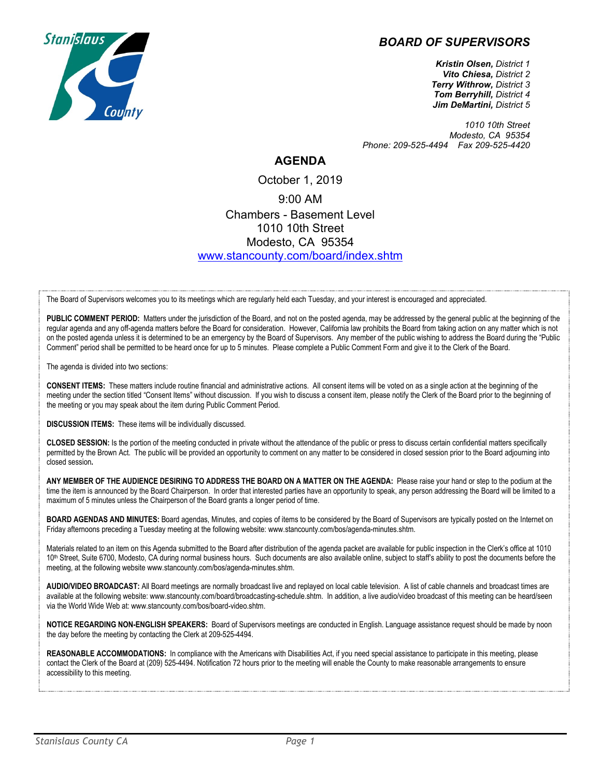## *BOARD OF SUPERVISORS*



*Kristin Olsen, District 1 Vito Chiesa, District 2 Terry Withrow, District 3 Tom Berryhill, District 4 Jim DeMartini, District 5*

*1010 10th Street Modesto, CA 95354 Phone: 209-525-4494 Fax 209-525-4420*

## **AGENDA**

October 1, 2019 9:00 AM Chambers - Basement Level 1010 10th Street Modesto, CA 95354 [www.stancounty.com/board/index.shtm](http://www.stancounty.com/board/index.shtm)

The Board of Supervisors welcomes you to its meetings which are regularly held each Tuesday, and your interest is encouraged and appreciated.

PUBLIC COMMENT PERIOD: Matters under the jurisdiction of the Board, and not on the posted agenda, may be addressed by the general public at the beginning of the regular agenda and any off-agenda matters before the Board for consideration. However, California law prohibits the Board from taking action on any matter which is not on the posted agenda unless it is determined to be an emergency by the Board of Supervisors. Any member of the public wishing to address the Board during the "Public Comment" period shall be permitted to be heard once for up to 5 minutes. Please complete a Public Comment Form and give it to the Clerk of the Board.

The agenda is divided into two sections:

**CONSENT ITEMS:** These matters include routine financial and administrative actions. All consent items will be voted on as a single action at the beginning of the meeting under the section titled "Consent Items" without discussion. If you wish to discuss a consent item, please notify the Clerk of the Board prior to the beginning of the meeting or you may speak about the item during Public Comment Period.

**DISCUSSION ITEMS:** These items will be individually discussed.

**CLOSED SESSION:** Is the portion of the meeting conducted in private without the attendance of the public or press to discuss certain confidential matters specifically permitted by the Brown Act. The public will be provided an opportunity to comment on any matter to be considered in closed session prior to the Board adjourning into closed session**.**

**ANY MEMBER OF THE AUDIENCE DESIRING TO ADDRESS THE BOARD ON A MATTER ON THE AGENDA:** Please raise your hand or step to the podium at the time the item is announced by the Board Chairperson. In order that interested parties have an opportunity to speak, any person addressing the Board will be limited to a maximum of 5 minutes unless the Chairperson of the Board grants a longer period of time.

**BOARD AGENDAS AND MINUTES:** Board agendas, Minutes, and copies of items to be considered by the Board of Supervisors are typically posted on the Internet on Friday afternoons preceding a Tuesday meeting at the following website: www.stancounty.com/bos/agenda-minutes.shtm.

Materials related to an item on this Agenda submitted to the Board after distribution of the agenda packet are available for public inspection in the Clerk's office at 1010 10<sup>th</sup> Street, Suite 6700, Modesto, CA during normal business hours. Such documents are also available online, subject to staff's ability to post the documents before the meeting, at the following website www.stancounty.com/bos/agenda-minutes.shtm.

**AUDIO/VIDEO BROADCAST:** All Board meetings are normally broadcast live and replayed on local cable television. A list of cable channels and broadcast times are available at the following website: www.stancounty.com/board/broadcasting-schedule.shtm. In addition, a live audio/video broadcast of this meeting can be heard/seen via the World Wide Web at: www.stancounty.com/bos/board-video.shtm.

**NOTICE REGARDING NON-ENGLISH SPEAKERS:** Board of Supervisors meetings are conducted in English. Language assistance request should be made by noon the day before the meeting by contacting the Clerk at 209-525-4494.

**REASONABLE ACCOMMODATIONS:** In compliance with the Americans with Disabilities Act, if you need special assistance to participate in this meeting, please contact the Clerk of the Board at (209) 525-4494. Notification 72 hours prior to the meeting will enable the County to make reasonable arrangements to ensure accessibility to this meeting.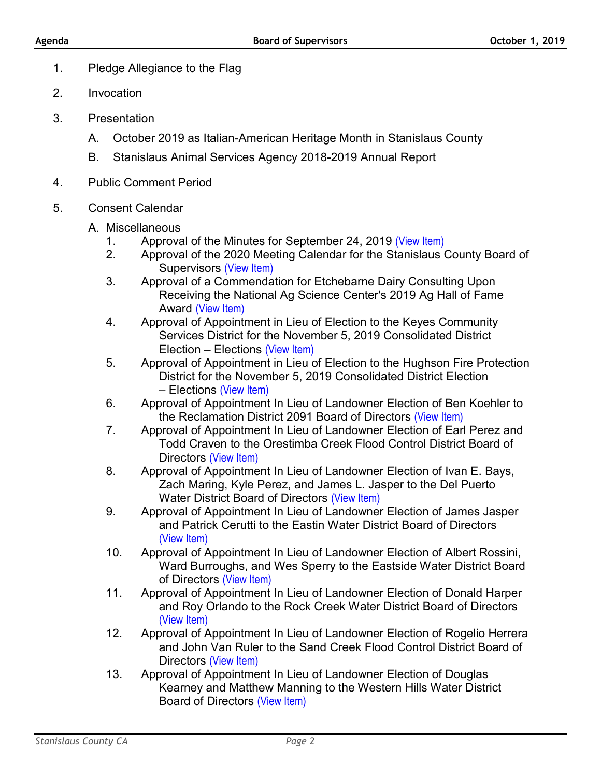- 1. Pledge Allegiance to the Flag
- 2. Invocation
- 3. Presentation
	- A. October 2019 as Italian-American Heritage Month in Stanislaus County
	- B. Stanislaus Animal Services Agency 2018-2019 Annual Report
- 4. Public Comment Period
- 5. Consent Calendar
	- A. Miscellaneous
		- 1. Approval of the Minutes for September 24, 2019 [\(View Item\)](http://www.stancounty.com/bos/minutes/2019/min09-24-19.pdf)<br>2. Approval of the 2020 Meeting Calendar for the Stanislaus (
		- 2. Approval of the 2020 Meeting Calendar for the Stanislaus County Board of Supervisors [\(View Item\)](http://www.stancounty.com/bos/agenda/2019/20191001/A02.pdf)
		- 3. Approval of a Commendation for Etchebarne Dairy Consulting Upon Receiving the National Ag Science Center's 2019 Ag Hall of Fame Award [\(View Item\)](http://www.stancounty.com/bos/agenda/2019/20191001/A03.pdf)
		- 4. Approval of Appointment in Lieu of Election to the Keyes Community Services District for the November 5, 2019 Consolidated District Election – Elections [\(View Item\)](http://www.stancounty.com/bos/agenda/2019/20191001/A04.pdf)
		- 5. Approval of Appointment in Lieu of Election to the Hughson Fire Protection District for the November 5, 2019 Consolidated District Election – Elections [\(View Item\)](http://www.stancounty.com/bos/agenda/2019/20191001/A05.pdf)
		- 6. Approval of Appointment In Lieu of Landowner Election of Ben Koehler to the Reclamation District 2091 Board of Directors [\(View Item\)](http://www.stancounty.com/bos/agenda/2019/20191001/A06.pdf)
		- 7. Approval of Appointment In Lieu of Landowner Election of Earl Perez and Todd Craven to the Orestimba Creek Flood Control District Board of Directors [\(View Item\)](http://www.stancounty.com/bos/agenda/2019/20191001/A07.pdf)
		- 8. Approval of Appointment In Lieu of Landowner Election of Ivan E. Bays, Zach Maring, Kyle Perez, and James L. Jasper to the Del Puerto Water District Board of Directors [\(View Item\)](http://www.stancounty.com/bos/agenda/2019/20191001/A08.pdf)
		- 9. Approval of Appointment In Lieu of Landowner Election of James Jasper and Patrick Cerutti to the Eastin Water District Board of Directors [\(View Item\)](http://www.stancounty.com/bos/agenda/2019/20191001/A09.pdf)
		- 10. Approval of Appointment In Lieu of Landowner Election of Albert Rossini, Ward Burroughs, and Wes Sperry to the Eastside Water District Board of Directors [\(View Item\)](http://www.stancounty.com/bos/agenda/2019/20191001/A10.pdf)
		- 11. Approval of Appointment In Lieu of Landowner Election of Donald Harper and Roy Orlando to the Rock Creek Water District Board of Directors (View Item)
		- 12. [Approval of App](http://www.stancounty.com/bos/agenda/2019/20191001/A11.pdf)ointment In Lieu of Landowner Election of Rogelio Herrera and John Van Ruler to the Sand Creek Flood Control District Board of Directors [\(View Item\)](http://www.stancounty.com/bos/agenda/2019/20191001/A12.pdf)
		- 13. Approval of Appointment In Lieu of Landowner Election of Douglas Kearney and Matthew Manning to the Western Hills Water District Board of Directors [\(View Item\)](http://www.stancounty.com/bos/agenda/2019/20191001/A13.pdf)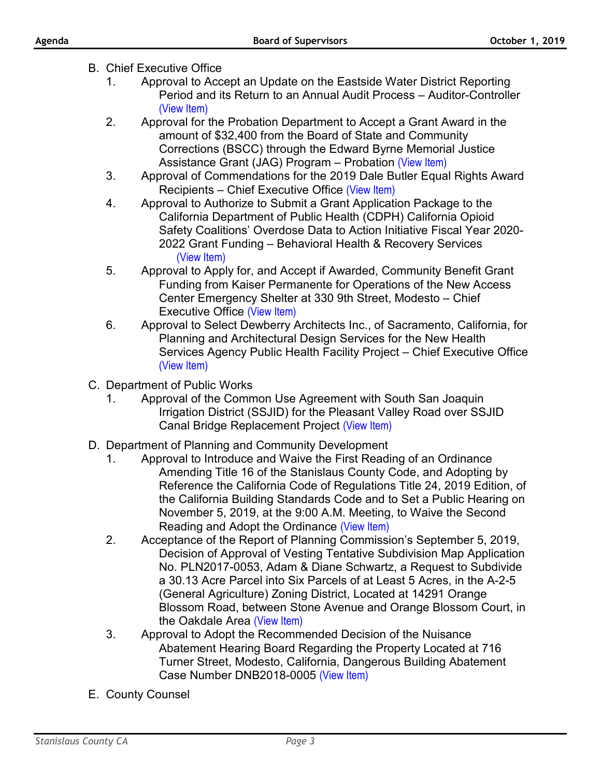- B. Chief Executive Office
	- 1. Approval to Accept an Update on the Eastside Water District Reporting Period and its Return to an Annual Audit Process – Auditor-Controller [\(View Item\)](http://www.stancounty.com/bos/agenda/2019/20191001/B01.pdf)
	- 2. Approval for the Probation Department to Accept a Grant Award in the amount of \$32,400 from the Board of State and Community Corrections (BSCC) through the Edward Byrne Memorial Justice Assistance Grant (JAG) Program – Probation [\(View Item\)](http://www.stancounty.com/bos/agenda/2019/20191001/B02.pdf)
	- 3. Approval of Commendations for the 2019 Dale Butler Equal Rights Award Recipients – Chief Executive Office [\(View Item\)](http://www.stancounty.com/bos/agenda/2019/20191001/B03.pdf)
	- 4. Approval to Authorize to Submit a Grant Application Package to the California Department of Public Health (CDPH) California Opioid Safety Coalitions' Overdose Data to Action Initiative Fiscal Year 2020- 2022 Grant Funding – Behavioral Health & Recovery Services [\(View Item\)](http://www.stancounty.com/bos/agenda/2019/20191001/B04.pdf)
	- 5. Approval to Apply for, and Accept if Awarded, Community Benefit Grant Funding from Kaiser Permanente for Operations of the New Access Center Emergency Shelter at 330 9th Street, Modesto – Chief Executive Office [\(View Item\)](http://www.stancounty.com/bos/agenda/2019/20191001/B05.pdf)
	- 6. Approval to Select Dewberry Architects Inc., of Sacramento, California, for Planning and Architectural Design Services for the New Health Services Agency Public Health Facility Project – Chief Executive Office [\(View Item\)](http://www.stancounty.com/bos/agenda/2019/20191001/B06.pdf)
- C. Department of Public Works
	- 1. Approval of the Common Use Agreement with South San Joaquin Irrigation District (SSJID) for the Pleasant Valley Road over SSJID Canal Bridge Replacement Project [\(View Item\)](http://www.stancounty.com/bos/agenda/2019/20191001/C01.pdf)
- D. Department of Planning and Community Development
	- 1. Approval to Introduce and Waive the First Reading of an Ordinance Amending Title 16 of the Stanislaus County Code, and Adopting by Reference the California Code of Regulations Title 24, 2019 Edition, of the California Building Standards Code and to Set a Public Hearing on November 5, 2019, at the 9:00 A.M. Meeting, to Waive the Second Reading and Adopt the Ordinance [\(View Item\)](http://www.stancounty.com/bos/agenda/2019/20191001/D01.pdf)
	- 2. Acceptance of the Report of Planning Commission's September 5, 2019, Decision of Approval of Vesting Tentative Subdivision Map Application No. PLN2017-0053, Adam & Diane Schwartz, a Request to Subdivide a 30.13 Acre Parcel into Six Parcels of at Least 5 Acres, in the A-2-5 (General Agriculture) Zoning District, Located at 14291 Orange Blossom Road, between Stone Avenue and Orange Blossom Court, in the Oakdale Area [\(View Item\)](http://www.stancounty.com/bos/agenda/2019/20191001/D02.pdf)
	- 3. Approval to Adopt the Recommended Decision of the Nuisance Abatement Hearing Board Regarding the Property Located at 716 Turner Street, Modesto, California, Dangerous Building Abatement Case Number DNB2018-0005 [\(View Item\)](http://www.stancounty.com/bos/agenda/2019/20191001/D03.pdf)
- E. County Counsel